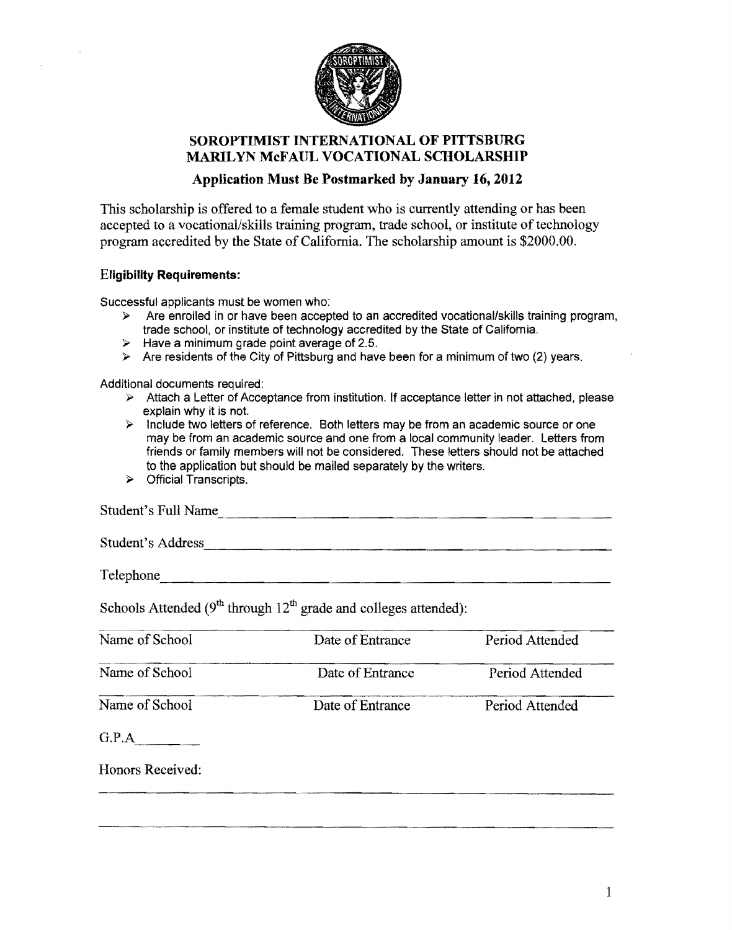

## SOROPTIMIST INTERNATIONAL OF PITTSBURG MARILYN McFAUL VOCATIONAL SCHOLARSHIP

### Application Must Be Postmarked by January 16,2012

This scholarship is offered to a female student who is currently attending or has been accepted to a vocational/skills training program, trade school, or institute of technology program accredited by the State of California. The scholarship amount is \$2000.00.

#### Eligibility Requirements:

Successful applicants must be women who:

- $\triangleright$  Are enrolled in or have been accepted to an accredited vocational/skills training program, trade school, or institute of technology accredited by the State of California.
- $\triangleright$  Have a minimum grade point average of 2.5.
- $\triangleright$  Are residents of the City of Pittsburg and have been for a minimum of two (2) years.

Additional documents required:

- $\triangleright$  Attach a Letter of Acceptance from institution. If acceptance letter in not attached, please explain why it is not.
- $\triangleright$  Include two letters of reference. Both letters may be from an academic source or one may be from an academic source and one from a local community leader. Letters from friends or family members will not be considered. These letters should not be attached to the application but should be mailed separately by the writers.
- $\triangleright$  Official Transcripts.

| Student's Full Name |  |  |
|---------------------|--|--|
| Student's Address   |  |  |
| Telephone           |  |  |

Schools Attended ( $9<sup>th</sup>$  through  $12<sup>th</sup>$  grade and colleges attended):

| Name of School   | Date of Entrance | Period Attended |
|------------------|------------------|-----------------|
| Name of School   | Date of Entrance | Period Attended |
| Name of School   | Date of Entrance | Period Attended |
| G.P.A            |                  |                 |
| Honors Received: |                  |                 |